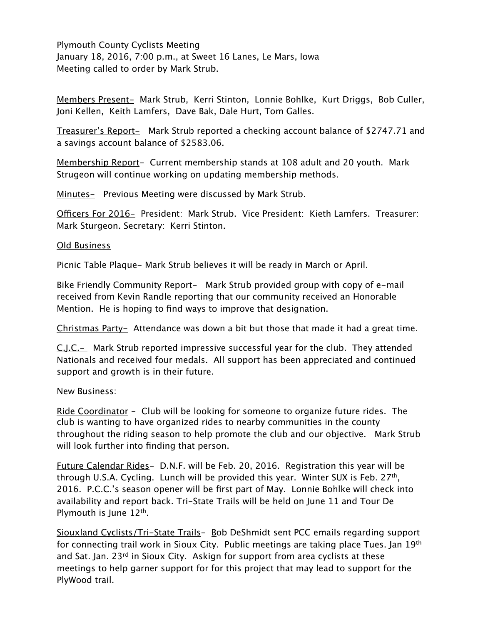Plymouth County Cyclists Meeting January 18, 2016, 7:00 p.m., at Sweet 16 Lanes, Le Mars, Iowa Meeting called to order by Mark Strub.

Members Present- Mark Strub, Kerri Stinton, Lonnie Bohlke, Kurt Driggs, Bob Culler, Joni Kellen, Keith Lamfers, Dave Bak, Dale Hurt, Tom Galles.

Treasurer's Report- Mark Strub reported a checking account balance of \$2747.71 and a savings account balance of \$2583.06.

Membership Report- Current membership stands at 108 adult and 20 youth. Mark Strugeon will continue working on updating membership methods.

Minutes- Previous Meeting were discussed by Mark Strub.

Officers For 2016- President: Mark Strub. Vice President: Kieth Lamfers. Treasurer: Mark Sturgeon. Secretary: Kerri Stinton.

## Old Business

Picnic Table Plaque- Mark Strub believes it will be ready in March or April.

Bike Friendly Community Report- Mark Strub provided group with copy of e-mail received from Kevin Randle reporting that our community received an Honorable Mention. He is hoping to find ways to improve that designation.

Christmas Party- Attendance was down a bit but those that made it had a great time.

C.J.C.- Mark Strub reported impressive successful year for the club. They attended Nationals and received four medals. All support has been appreciated and continued support and growth is in their future.

New Business:

Ride Coordinator - Club will be looking for someone to organize future rides. The club is wanting to have organized rides to nearby communities in the county throughout the riding season to help promote the club and our objective. Mark Strub will look further into finding that person.

Future Calendar Rides- D.N.F. will be Feb. 20, 2016. Registration this year will be through U.S.A. Cycling. Lunch will be provided this year. Winter SUX is Feb. 27<sup>th</sup>, 2016. P.C.C.'s season opener will be first part of May. Lonnie Bohlke will check into availability and report back. Tri-State Trails will be held on June 11 and Tour De Plymouth is June 12<sup>th</sup>.

Siouxland Cyclists/Tri-State Trails- Bob DeShmidt sent PCC emails regarding support for connecting trail work in Sioux City. Public meetings are taking place Tues. Jan 19<sup>th</sup> and Sat. Jan. 23<sup>rd</sup> in Sioux City. Askign for support from area cyclists at these meetings to help garner support for for this project that may lead to support for the PlyWood trail.